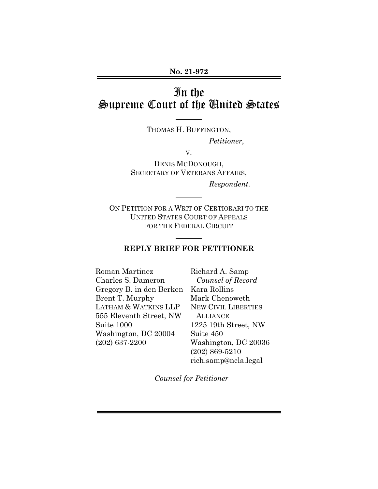# In the Supreme Court of the United States

THOMAS H. BUFFINGTON,

*Petitioner*,

V.

DENIS MCDONOUGH, SECRETARY OF VETERANS AFFAIRS, *Respondent.* 

ON PETITION FOR A WRIT OF CERTIORARI TO THE UNITED STATES COURT OF APPEALS FOR THE FEDERAL CIRCUIT

 $\overline{a}$ 

 $\overline{a}$ 

 $\overline{a}$ 

#### **REPLY BRIEF FOR PETITIONER**

Roman Martinez Charles S. Dameron Gregory B. in den Berken Brent T. Murphy LATHAM & WATKINS LLP 555 Eleventh Street, NW Suite 1000 Washington, DC 20004 (202) 637-2200

Richard A. Samp *Counsel of Record*  Kara Rollins Mark Chenoweth NEW CIVIL LIBERTIES **ALLIANCE** 1225 19th Street, NW Suite 450 Washington, DC 20036 (202) 869-5210 rich.samp@ncla.legal

*Counsel for Petitioner*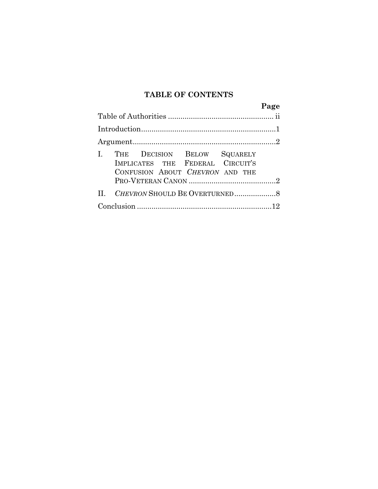# **TABLE OF CONTENTS**

|                                                                                                    |  | Page |
|----------------------------------------------------------------------------------------------------|--|------|
|                                                                                                    |  |      |
|                                                                                                    |  |      |
|                                                                                                    |  |      |
| THE DECISION BELOW SQUARELY<br>IMPLICATES THE FEDERAL CIRCUIT'S<br>CONFUSION ABOUT CHEVRON AND THE |  |      |
|                                                                                                    |  |      |
|                                                                                                    |  |      |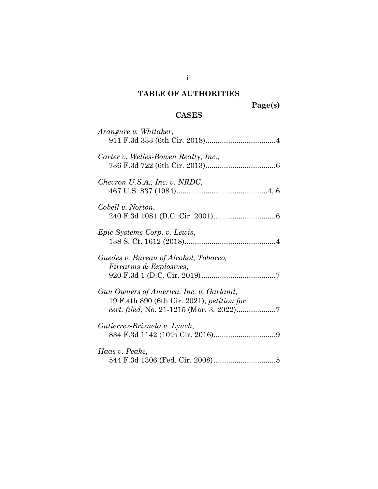## **TABLE OF AUTHORITIES**

# **CASES**

| Arangure v. Whitaker,                                                                 |
|---------------------------------------------------------------------------------------|
| Carter v. Welles-Bowen Realty, Inc.,                                                  |
| Chevron U.S.A., Inc. v. NRDC,                                                         |
| Cobell v. Norton,                                                                     |
| Epic Systems Corp. v. Lewis,                                                          |
| Guedes v. Bureau of Alcohol, Tobacco,<br>Firearms & Explosives,                       |
| Gun Owners of America, Inc. v. Garland,<br>19 F.4th 890 (6th Cir. 2021), petition for |
| Gutierrez-Brizuela v. Lynch,                                                          |
| Haas v. Peake,                                                                        |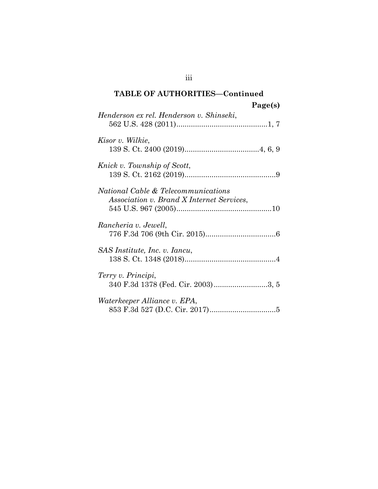## **TABLE OF AUTHORITIES—Continued Page(s)**

| $1 \alpha \leq C(3)$                                                                               |  |
|----------------------------------------------------------------------------------------------------|--|
| Henderson ex rel. Henderson v. Shinseki,                                                           |  |
| Kisor v. Wilkie,                                                                                   |  |
| Knick v. Township of Scott,                                                                        |  |
| <i>National Cable &amp; Telecommunications</i><br><i>Association v. Brand X Internet Services,</i> |  |
| Rancheria v. Jewell,                                                                               |  |
| SAS Institute, Inc. v. Iancu,                                                                      |  |
| Terry v. Principi,<br>340 F.3d 1378 (Fed. Cir. 2003)3, 5                                           |  |
| Waterkeeper Alliance v. EPA,                                                                       |  |

iii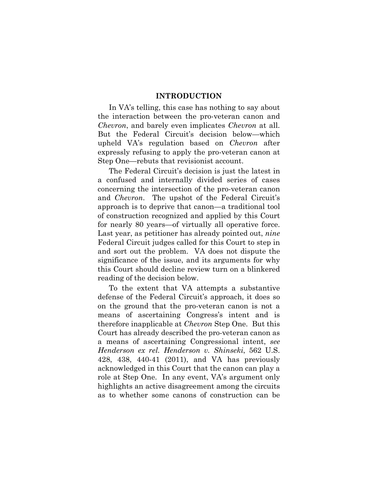#### **INTRODUCTION**

In VA's telling, this case has nothing to say about the interaction between the pro-veteran canon and *Chevron*, and barely even implicates *Chevron* at all. But the Federal Circuit's decision below—which upheld VA's regulation based on *Chevron* after expressly refusing to apply the pro-veteran canon at Step One—rebuts that revisionist account.

The Federal Circuit's decision is just the latest in a confused and internally divided series of cases concerning the intersection of the pro-veteran canon and *Chevron*. The upshot of the Federal Circuit's approach is to deprive that canon—a traditional tool of construction recognized and applied by this Court for nearly 80 years—of virtually all operative force. Last year, as petitioner has already pointed out, *nine*  Federal Circuit judges called for this Court to step in and sort out the problem. VA does not dispute the significance of the issue, and its arguments for why this Court should decline review turn on a blinkered reading of the decision below.

To the extent that VA attempts a substantive defense of the Federal Circuit's approach, it does so on the ground that the pro-veteran canon is not a means of ascertaining Congress's intent and is therefore inapplicable at *Chevron* Step One. But this Court has already described the pro-veteran canon as a means of ascertaining Congressional intent, *see Henderson ex rel. Henderson v. Shinseki*, 562 U.S. 428, 438, 440-41 (2011), and VA has previously acknowledged in this Court that the canon can play a role at Step One. In any event, VA's argument only highlights an active disagreement among the circuits as to whether some canons of construction can be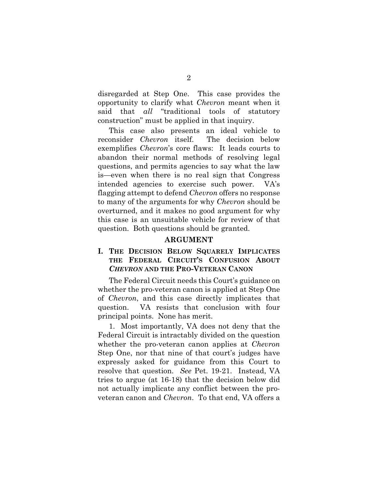disregarded at Step One. This case provides the opportunity to clarify what *Chevron* meant when it said that *all* "traditional tools of statutory construction" must be applied in that inquiry.

This case also presents an ideal vehicle to reconsider *Chevron* itself. The decision below exemplifies *Chevron*'s core flaws: It leads courts to abandon their normal methods of resolving legal questions, and permits agencies to say what the law is—even when there is no real sign that Congress intended agencies to exercise such power. VA's flagging attempt to defend *Chevron* offers no response to many of the arguments for why *Chevron* should be overturned, and it makes no good argument for why this case is an unsuitable vehicle for review of that question. Both questions should be granted.

#### **ARGUMENT**

#### **I. THE DECISION BELOW SQUARELY IMPLICATES THE FEDERAL CIRCUIT'S CONFUSION ABOUT**  *CHEVRON* **AND THE PRO-VETERAN CANON**

The Federal Circuit needs this Court's guidance on whether the pro-veteran canon is applied at Step One of *Chevron*, and this case directly implicates that question. VA resists that conclusion with four principal points. None has merit.

1. Most importantly, VA does not deny that the Federal Circuit is intractably divided on the question whether the pro-veteran canon applies at *Chevron* Step One, nor that nine of that court's judges have expressly asked for guidance from this Court to resolve that question. *See* Pet. 19-21. Instead, VA tries to argue (at 16-18) that the decision below did not actually implicate any conflict between the proveteran canon and *Chevron*. To that end, VA offers a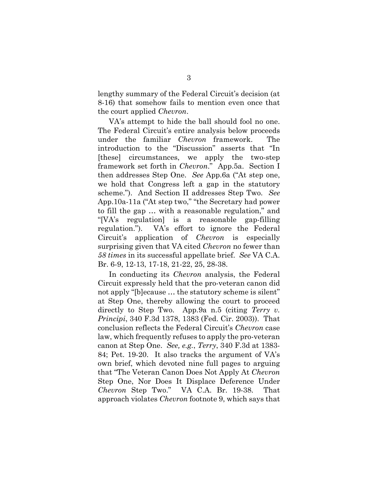lengthy summary of the Federal Circuit's decision (at 8-16) that somehow fails to mention even once that the court applied *Chevron*.

VA's attempt to hide the ball should fool no one. The Federal Circuit's entire analysis below proceeds under the familiar *Chevron* framework. The introduction to the "Discussion" asserts that "In [these] circumstances, we apply the two-step framework set forth in *Chevron*." App.5a. Section I then addresses Step One. *See* App.6a ("At step one, we hold that Congress left a gap in the statutory scheme."). And Section II addresses Step Two. *See* App.10a-11a ("At step two," "the Secretary had power to fill the gap … with a reasonable regulation," and "[VA's regulation] is a reasonable gap-filling regulation."). VA's effort to ignore the Federal Circuit's application of *Chevron* is especially surprising given that VA cited *Chevron* no fewer than *58 times* in its successful appellate brief. *See* VA C.A. Br. 6-9, 12-13, 17-18, 21-22, 25, 28-38.

In conducting its *Chevron* analysis, the Federal Circuit expressly held that the pro-veteran canon did not apply "[b]ecause … the statutory scheme is silent" at Step One, thereby allowing the court to proceed directly to Step Two. App.9a n.5 (citing *Terry v. Principi*, 340 F.3d 1378, 1383 (Fed. Cir. 2003)). That conclusion reflects the Federal Circuit's *Chevron* case law, which frequently refuses to apply the pro-veteran canon at Step One. *See, e.g.*, *Terry*, 340 F.3d at 1383- 84; Pet. 19-20. It also tracks the argument of VA's own brief, which devoted nine full pages to arguing that "The Veteran Canon Does Not Apply At *Chevron* Step One, Nor Does It Displace Deference Under *Chevron* Step Two." VA C.A. Br. 19-38. That approach violates *Chevron* footnote 9, which says that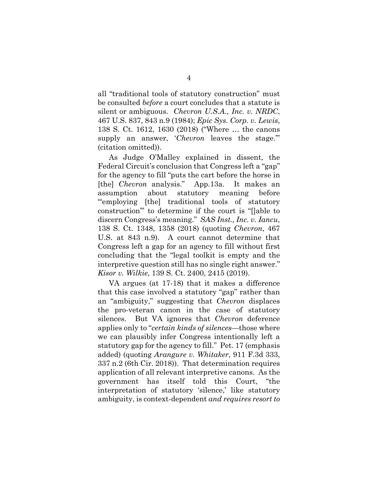all "traditional tools of statutory construction" must be consulted *before* a court concludes that a statute is silent or ambiguous. *Chevron U.S.A., Inc. v. NRDC*, 467 U.S. 837, 843 n.9 (1984); *Epic Sys. Corp. v. Lewis*, 138 S. Ct. 1612, 1630 (2018) ("Where … the canons supply an answer, '*Chevron* leaves the stage.'" (citation omitted)).

As Judge O'Malley explained in dissent, the Federal Circuit's conclusion that Congress left a "gap" for the agency to fill "puts the cart before the horse in [the] *Chevron* analysis." App.13a. It makes an assumption about statutory meaning before "'employing [the] traditional tools of statutory construction'" to determine if the court is "[]able to discern Congress's meaning." *SAS Inst., Inc. v. Iancu*, 138 S. Ct. 1348, 1358 (2018) (quoting *Chevron*, 467 U.S. at 843 n.9). A court cannot determine that Congress left a gap for an agency to fill without first concluding that the "legal toolkit is empty and the interpretive question still has no single right answer." *Kisor v. Wilkie*, 139 S. Ct. 2400, 2415 (2019).

VA argues (at 17-18) that it makes a difference that this case involved a statutory "gap" rather than an "ambiguity," suggesting that *Chevron* displaces the pro-veteran canon in the case of statutory silences. But VA ignores that *Chevron* deference applies only to "*certain kinds of silences*—those where we can plausibly infer Congress intentionally left a statutory gap for the agency to fill." Pet. 17 (emphasis added) (quoting *Arangure v. Whitaker*, 911 F.3d 333, 337 n.2 (6th Cir. 2018)). That determination requires application of all relevant interpretive canons. As the government has itself told this Court, "the interpretation of statutory 'silence,' like statutory ambiguity, is context-dependent *and requires resort to*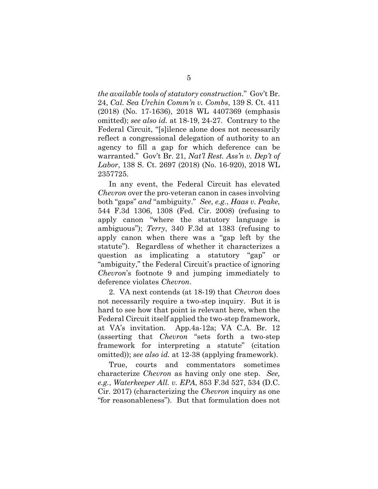*the available tools of statutory construction*." Gov't Br. 24, *Cal. Sea Urchin Comm'n v. Combs*, 139 S. Ct. 411 (2018) (No. 17-1636), 2018 WL 4407369 (emphasis omitted); *see also id.* at 18-19, 24-27. Contrary to the Federal Circuit, "[s]ilence alone does not necessarily reflect a congressional delegation of authority to an agency to fill a gap for which deference can be warranted." Gov't Br. 21, *Nat'l Rest. Ass'n v. Dep't of Labor*, 138 S. Ct. 2697 (2018) (No. 16-920), 2018 WL 2357725.

In any event, the Federal Circuit has elevated *Chevron* over the pro-veteran canon in cases involving both "gaps" *and* "ambiguity." *See, e.g.*, *Haas v. Peake*, 544 F.3d 1306, 1308 (Fed. Cir. 2008) (refusing to apply canon "where the statutory language is ambiguous"); *Terry*, 340 F.3d at 1383 (refusing to apply canon when there was a "gap left by the statute"). Regardless of whether it characterizes a question as implicating a statutory "gap" or "ambiguity," the Federal Circuit's practice of ignoring *Chevron*'s footnote 9 and jumping immediately to deference violates *Chevron*.

2. VA next contends (at 18-19) that *Chevron* does not necessarily require a two-step inquiry. But it is hard to see how that point is relevant here, when the Federal Circuit itself applied the two-step framework, at VA's invitation. App.4a-12a; VA C.A. Br. 12 (asserting that *Chevron* "sets forth a two-step framework for interpreting a statute" (citation omitted)); *see also id.* at 12-38 (applying framework).

True, courts and commentators sometimes characterize *Chevron* as having only one step. *See, e.g.*, *Waterkeeper All. v. EPA*, 853 F.3d 527, 534 (D.C. Cir. 2017) (characterizing the *Chevron* inquiry as one "for reasonableness"). But that formulation does not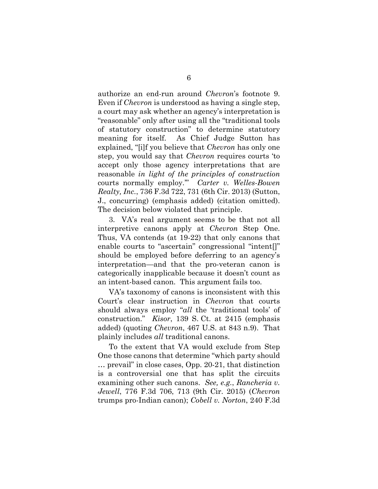authorize an end-run around *Chevron*'s footnote 9. Even if *Chevron* is understood as having a single step, a court may ask whether an agency's interpretation is "reasonable" only after using all the "traditional tools of statutory construction" to determine statutory meaning for itself. As Chief Judge Sutton has explained, "[i]f you believe that *Chevron* has only one step, you would say that *Chevron* requires courts 'to accept only those agency interpretations that are reasonable *in light of the principles of construction* courts normally employ.'" *Carter v. Welles-Bowen Realty, Inc.*, 736 F.3d 722, 731 (6th Cir. 2013) (Sutton, J., concurring) (emphasis added) (citation omitted). The decision below violated that principle.

3. VA's real argument seems to be that not all interpretive canons apply at *Chevron* Step One. Thus, VA contends (at 19-22) that only canons that enable courts to "ascertain" congressional "intent[]" should be employed before deferring to an agency's interpretation—and that the pro-veteran canon is categorically inapplicable because it doesn't count as an intent-based canon. This argument fails too.

VA's taxonomy of canons is inconsistent with this Court's clear instruction in *Chevron* that courts should always employ "*all* the 'traditional tools' of construction." *Kisor*, 139 S. Ct. at 2415 (emphasis added) (quoting *Chevron*, 467 U.S. at 843 n.9). That plainly includes *all* traditional canons.

To the extent that VA would exclude from Step One those canons that determine "which party should … prevail" in close cases, Opp. 20-21, that distinction is a controversial one that has split the circuits examining other such canons. *See, e.g.*, *Rancheria v. Jewell*, 776 F.3d 706, 713 (9th Cir. 2015) (*Chevron* trumps pro-Indian canon); *Cobell v. Norton*, 240 F.3d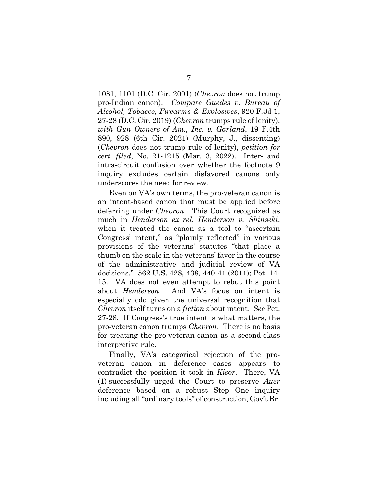1081, 1101 (D.C. Cir. 2001) (*Chevron* does not trump pro-Indian canon). *Compare Guedes v. Bureau of Alcohol, Tobacco, Firearms & Explosives*, 920 F.3d 1, 27-28 (D.C. Cir. 2019) (*Chevron* trumps rule of lenity), *with Gun Owners of Am., Inc. v. Garland*, 19 F.4th 890, 928 (6th Cir. 2021) (Murphy, J., dissenting) (*Chevron* does not trump rule of lenity), *petition for cert. filed*, No. 21-1215 (Mar. 3, 2022). Inter- and intra-circuit confusion over whether the footnote 9 inquiry excludes certain disfavored canons only underscores the need for review.

Even on VA's own terms, the pro-veteran canon is an intent-based canon that must be applied before deferring under *Chevron*. This Court recognized as much in *Henderson ex rel. Henderson v. Shinseki*, when it treated the canon as a tool to "ascertain Congress' intent," as "plainly reflected" in various provisions of the veterans' statutes "that place a thumb on the scale in the veterans' favor in the course of the administrative and judicial review of VA decisions." 562 U.S. 428, 438, 440-41 (2011); Pet. 14- 15. VA does not even attempt to rebut this point about *Henderson*. And VA's focus on intent is especially odd given the universal recognition that *Chevron* itself turns on a *fiction* about intent. *See* Pet. 27-28. If Congress's true intent is what matters, the pro-veteran canon trumps *Chevron*. There is no basis for treating the pro-veteran canon as a second-class interpretive rule.

Finally, VA's categorical rejection of the proveteran canon in deference cases appears to contradict the position it took in *Kisor*. There, VA (1) successfully urged the Court to preserve *Auer* deference based on a robust Step One inquiry including all "ordinary tools" of construction, Gov't Br.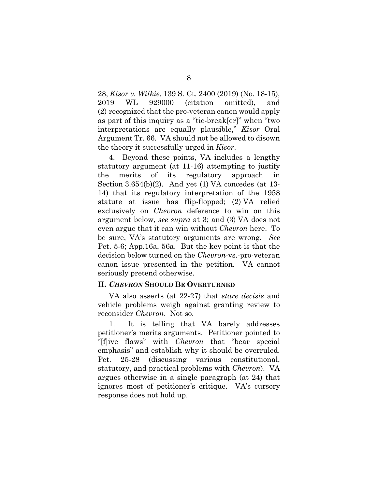28, *Kisor v. Wilkie*, 139 S. Ct. 2400 (2019) (No. 18-15), 2019 WL 929000 (citation omitted), and (2) recognized that the pro-veteran canon would apply as part of this inquiry as a "tie-break[er]" when "two interpretations are equally plausible," *Kisor* Oral Argument Tr. 66. VA should not be allowed to disown the theory it successfully urged in *Kisor*.

4. Beyond these points, VA includes a lengthy statutory argument (at 11-16) attempting to justify the merits of its regulatory approach in Section  $3.654(b)(2)$ . And yet (1) VA concedes (at 13-14) that its regulatory interpretation of the 1958 statute at issue has flip-flopped; (2) VA relied exclusively on *Chevron* deference to win on this argument below, *see supra* at 3; and (3) VA does not even argue that it can win without *Chevron* here. To be sure, VA's statutory arguments are wrong. *See* Pet. 5-6; App.16a, 56a. But the key point is that the decision below turned on the *Chevron*-vs.-pro-veteran canon issue presented in the petition. VA cannot seriously pretend otherwise.

#### **II.** *CHEVRON* **SHOULD BE OVERTURNED**

VA also asserts (at 22-27) that *stare decisis* and vehicle problems weigh against granting review to reconsider *Chevron*. Not so.

1. It is telling that VA barely addresses petitioner's merits arguments. Petitioner pointed to "[f]ive flaws" with *Chevron* that "bear special emphasis" and establish why it should be overruled. Pet. 25-28 (discussing various constitutional, statutory, and practical problems with *Chevron*). VA argues otherwise in a single paragraph (at 24) that ignores most of petitioner's critique. VA's cursory response does not hold up.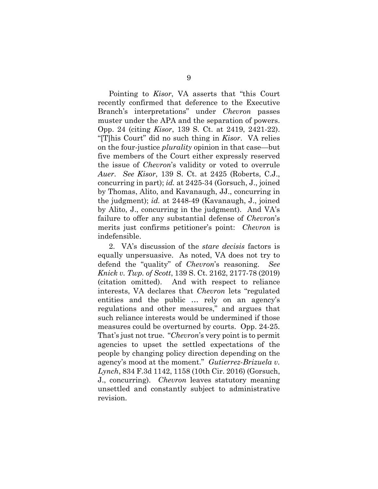Pointing to *Kisor*, VA asserts that "this Court recently confirmed that deference to the Executive Branch's interpretations" under *Chevron* passes muster under the APA and the separation of powers. Opp. 24 (citing *Kisor*, 139 S. Ct. at 2419, 2421-22). "[T]his Court" did no such thing in *Kisor*. VA relies on the four-justice *plurality* opinion in that case—but five members of the Court either expressly reserved the issue of *Chevron*'s validity or voted to overrule *Auer*. *See Kisor*, 139 S. Ct. at 2425 (Roberts, C.J., concurring in part); *id.* at 2425-34 (Gorsuch, J., joined by Thomas, Alito, and Kavanaugh, JJ., concurring in the judgment); *id.* at 2448-49 (Kavanaugh, J., joined by Alito, J., concurring in the judgment).And VA's failure to offer any substantial defense of *Chevron*'s merits just confirms petitioner's point: *Chevron* is indefensible.

2. VA's discussion of the *stare decisis* factors is equally unpersuasive. As noted, VA does not try to defend the "quality" of *Chevron*'s reasoning. *See Knick v. Twp. of Scott*, 139 S. Ct. 2162, 2177-78 (2019) (citation omitted). And with respect to reliance interests, VA declares that *Chevron* lets "regulated entities and the public … rely on an agency's regulations and other measures," and argues that such reliance interests would be undermined if those measures could be overturned by courts. Opp. 24-25. That's just not true. "*Chevron*'s very point is to permit agencies to upset the settled expectations of the people by changing policy direction depending on the agency's mood at the moment." *Gutierrez-Brizuela v. Lynch*, 834 F.3d 1142, 1158 (10th Cir. 2016) (Gorsuch, J., concurring). *Chevron* leaves statutory meaning unsettled and constantly subject to administrative revision.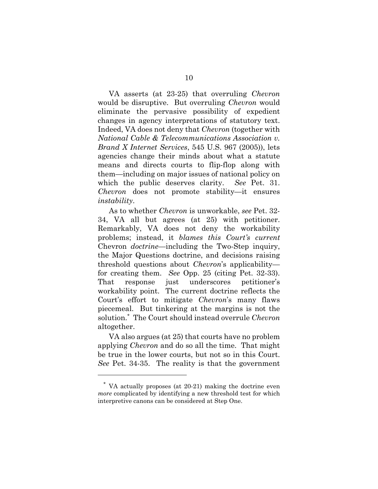VA asserts (at 23-25) that overruling *Chevron* would be disruptive. But overruling *Chevron* would eliminate the pervasive possibility of expedient changes in agency interpretations of statutory text. Indeed, VA does not deny that *Chevron* (together with *National Cable & Telecommunications Association v. Brand X Internet Services*, 545 U.S. 967 (2005)), lets agencies change their minds about what a statute means and directs courts to flip-flop along with them—including on major issues of national policy on which the public deserves clarity. *See* Pet. 31. *Chevron* does not promote stability—it ensures *instability*.

As to whether *Chevron* is unworkable, *see* Pet. 32- 34, VA all but agrees (at 25) with petitioner. Remarkably, VA does not deny the workability problems; instead, it *blames this Court's current*  Chevron *doctrine*—including the Two-Step inquiry, the Major Questions doctrine, and decisions raising threshold questions about *Chevron*'s applicability for creating them. *See* Opp. 25 (citing Pet. 32-33). That response just underscores petitioner's workability point. The current doctrine reflects the Court's effort to mitigate *Chevron*'s many flaws piecemeal. But tinkering at the margins is not the solution.\* The Court should instead overrule *Chevron* altogether.

VA also argues (at 25) that courts have no problem applying *Chevron* and do so all the time. That might be true in the lower courts, but not so in this Court. *See* Pet. 34-35. The reality is that the government

l

<sup>\*</sup> VA actually proposes (at 20-21) making the doctrine even *more* complicated by identifying a new threshold test for which interpretive canons can be considered at Step One.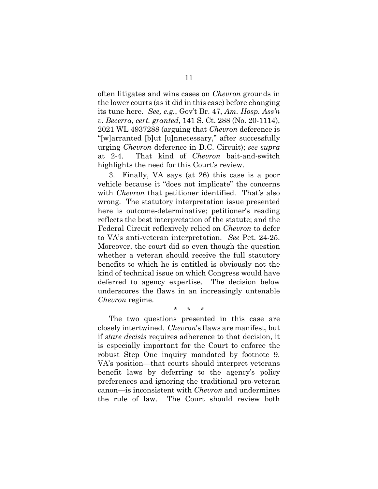often litigates and wins cases on *Chevron* grounds in the lower courts (as it did in this case) before changing its tune here. *See, e.g.*, Gov't Br. 47, *Am. Hosp. Ass'n v. Becerra*, *cert. granted*, 141 S. Ct. 288 (No. 20-1114), 2021 WL 4937288 (arguing that *Chevron* deference is "[w]arranted [b]ut [u]nnecessary," after successfully urging *Chevron* deference in D.C. Circuit); *see supra* at 2-4. That kind of *Chevron* bait-and-switch highlights the need for this Court's review.

3. Finally, VA says (at 26) this case is a poor vehicle because it "does not implicate" the concerns with *Chevron* that petitioner identified. That's also wrong. The statutory interpretation issue presented here is outcome-determinative; petitioner's reading reflects the best interpretation of the statute; and the Federal Circuit reflexively relied on *Chevron* to defer to VA's anti-veteran interpretation. *See* Pet. 24-25. Moreover, the court did so even though the question whether a veteran should receive the full statutory benefits to which he is entitled is obviously not the kind of technical issue on which Congress would have deferred to agency expertise. The decision below underscores the flaws in an increasingly untenable *Chevron* regime.

\* \* \*

The two questions presented in this case are closely intertwined. *Chevron*'s flaws are manifest, but if *stare decisis* requires adherence to that decision, it is especially important for the Court to enforce the robust Step One inquiry mandated by footnote 9. VA's position—that courts should interpret veterans benefit laws by deferring to the agency's policy preferences and ignoring the traditional pro-veteran canon—is inconsistent with *Chevron* and undermines the rule of law. The Court should review both